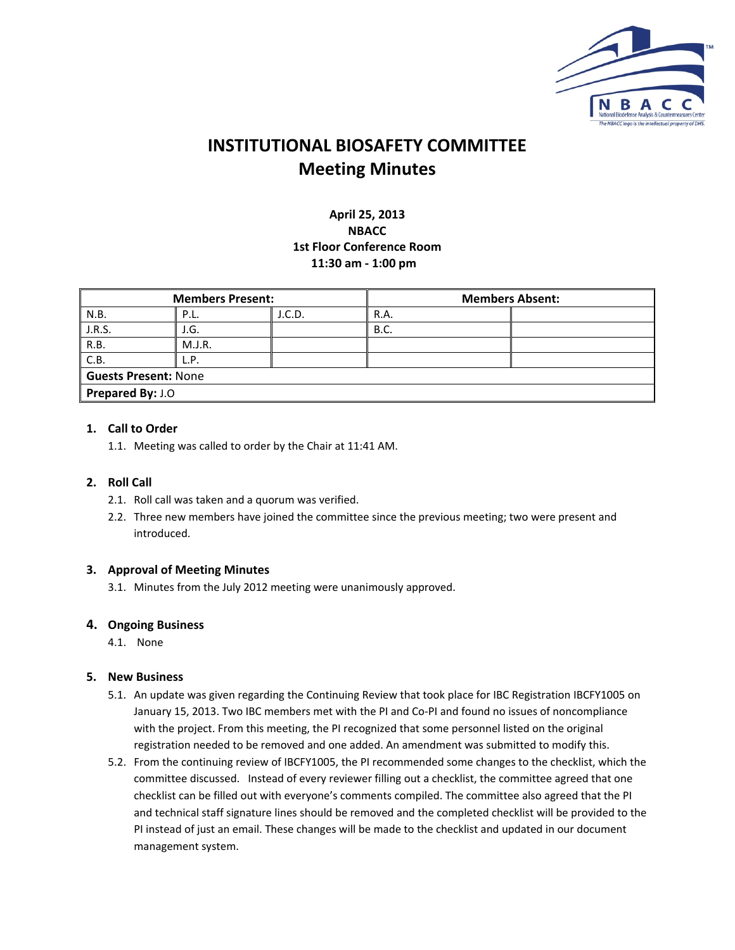

# **INSTITUTIONAL BIOSAFETY COMMITTEE Meeting Minutes**

# **April 25, 2013 NBACC 1st Floor Conference Room 11:30 am ‐ 1:00 pm**

| <b>Members Present:</b>     |        |        | <b>Members Absent:</b> |  |  |  |
|-----------------------------|--------|--------|------------------------|--|--|--|
| N.B.                        | P.L.   | J.C.D. | R.A.                   |  |  |  |
| J.R.S.                      | J.G.   |        | <b>B.C.</b>            |  |  |  |
| R.B.                        | M.J.R. |        |                        |  |  |  |
| C.B.                        | L.P.   |        |                        |  |  |  |
| <b>Guests Present: None</b> |        |        |                        |  |  |  |
| Prepared By: J.O            |        |        |                        |  |  |  |

# **1. Call to Order**

1.1. Meeting was called to order by the Chair at 11:41 AM.

### **2. Roll Call**

- 2.1. Roll call was taken and a quorum was verified.
- 2.2. Three new members have joined the committee since the previous meeting; two were present and introduced.

#### **3. Approval of Meeting Minutes**

3.1. Minutes from the July 2012 meeting were unanimously approved.

#### **4. Ongoing Business**

4.1. None

#### **5. New Business**

- 5.1. An update was given regarding the Continuing Review that took place for IBC Registration IBCFY1005 on January 15, 2013. Two IBC members met with the PI and Co‐PI and found no issues of noncompliance with the project. From this meeting, the PI recognized that some personnel listed on the original registration needed to be removed and one added. An amendment was submitted to modify this.
- 5.2. From the continuing review of IBCFY1005, the PI recommended some changes to the checklist, which the committee discussed. Instead of every reviewer filling out a checklist, the committee agreed that one checklist can be filled out with everyone's comments compiled. The committee also agreed that the PI and technical staff signature lines should be removed and the completed checklist will be provided to the PI instead of just an email. These changes will be made to the checklist and updated in our document management system.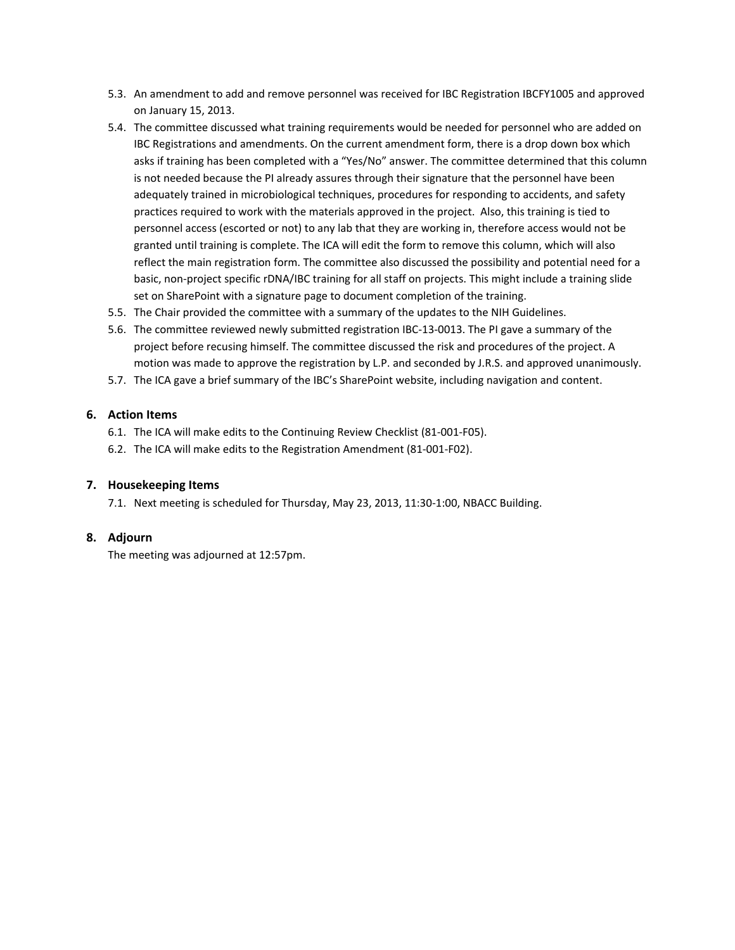- 5.3. An amendment to add and remove personnel was received for IBC Registration IBCFY1005 and approved on January 15, 2013.
- 5.4. The committee discussed what training requirements would be needed for personnel who are added on IBC Registrations and amendments. On the current amendment form, there is a drop down box which asks if training has been completed with a "Yes/No" answer. The committee determined that this column is not needed because the PI already assures through their signature that the personnel have been adequately trained in microbiological techniques, procedures for responding to accidents, and safety practices required to work with the materials approved in the project. Also, this training is tied to personnel access (escorted or not) to any lab that they are working in, therefore access would not be granted until training is complete. The ICA will edit the form to remove this column, which will also reflect the main registration form. The committee also discussed the possibility and potential need for a basic, non-project specific rDNA/IBC training for all staff on projects. This might include a training slide set on SharePoint with a signature page to document completion of the training.
- 5.5. The Chair provided the committee with a summary of the updates to the NIH Guidelines.
- 5.6. The committee reviewed newly submitted registration IBC‐13‐0013. The PI gave a summary of the project before recusing himself. The committee discussed the risk and procedures of the project. A motion was made to approve the registration by L.P. and seconded by J.R.S. and approved unanimously.
- 5.7. The ICA gave a brief summary of the IBC's SharePoint website, including navigation and content.

### **6. Action Items**

- 6.1. The ICA will make edits to the Continuing Review Checklist (81‐001‐F05).
- 6.2. The ICA will make edits to the Registration Amendment (81‐001‐F02).

#### **7. Housekeeping Items**

7.1. Next meeting is scheduled for Thursday, May 23, 2013, 11:30‐1:00, NBACC Building.

# **8. Adjourn**

The meeting was adjourned at 12:57pm.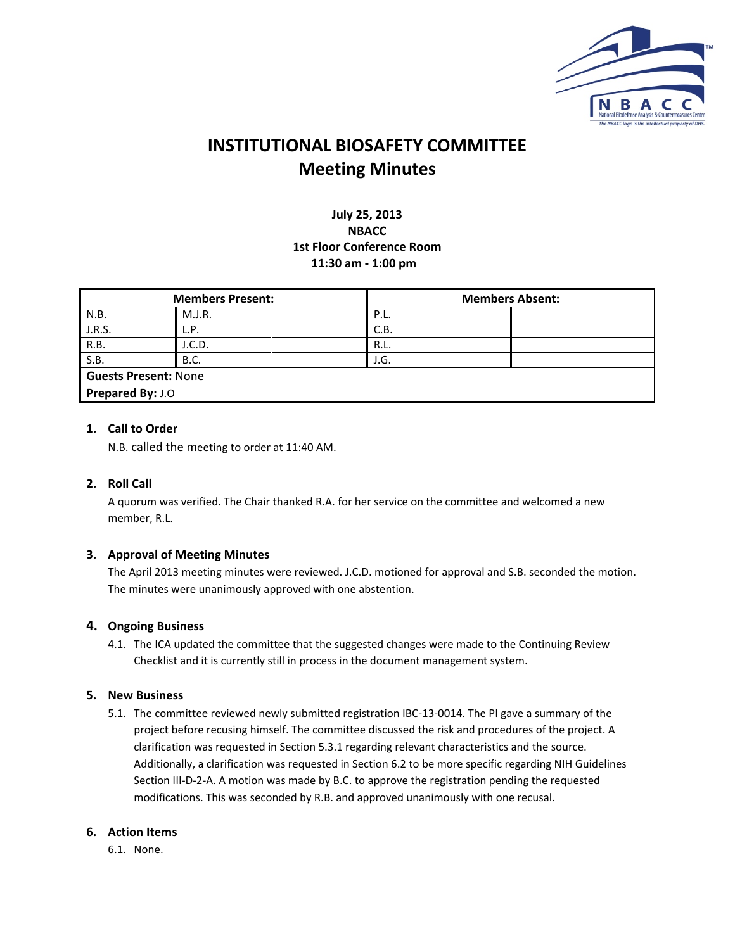

# **INSTITUTIONAL BIOSAFETY COMMITTEE Meeting Minutes**

# **July 25, 2013 NBACC 1st Floor Conference Room 11:30 am ‐ 1:00 pm**

| <b>Members Present:</b>     |        | <b>Members Absent:</b> |  |  |  |
|-----------------------------|--------|------------------------|--|--|--|
| N.B.                        | M.J.R. | P.L.                   |  |  |  |
| J.R.S.                      | L.P.   | C.B.                   |  |  |  |
| R.B.                        | I.C.D. | R.L.                   |  |  |  |
| S.B.                        | B.C.   | J.G.                   |  |  |  |
| <b>Guests Present: None</b> |        |                        |  |  |  |
| Prepared By: J.O            |        |                        |  |  |  |

# **1. Call to Order**

N.B. called the meeting to order at 11:40 AM.

#### **2. Roll Call**

A quorum was verified. The Chair thanked R.A. for her service on the committee and welcomed a new member, R.L.

#### **3. Approval of Meeting Minutes**

The April 2013 meeting minutes were reviewed. J.C.D. motioned for approval and S.B. seconded the motion. The minutes were unanimously approved with one abstention.

#### **4. Ongoing Business**

4.1. The ICA updated the committee that the suggested changes were made to the Continuing Review Checklist and it is currently still in process in the document management system.

#### **5. New Business**

5.1. The committee reviewed newly submitted registration IBC‐13‐0014. The PI gave a summary of the project before recusing himself. The committee discussed the risk and procedures of the project. A clarification was requested in Section 5.3.1 regarding relevant characteristics and the source. Additionally, a clarification was requested in Section 6.2 to be more specific regarding NIH Guidelines Section III-D-2-A. A motion was made by B.C. to approve the registration pending the requested modifications. This was seconded by R.B. and approved unanimously with one recusal.

#### **6. Action Items**

6.1. None.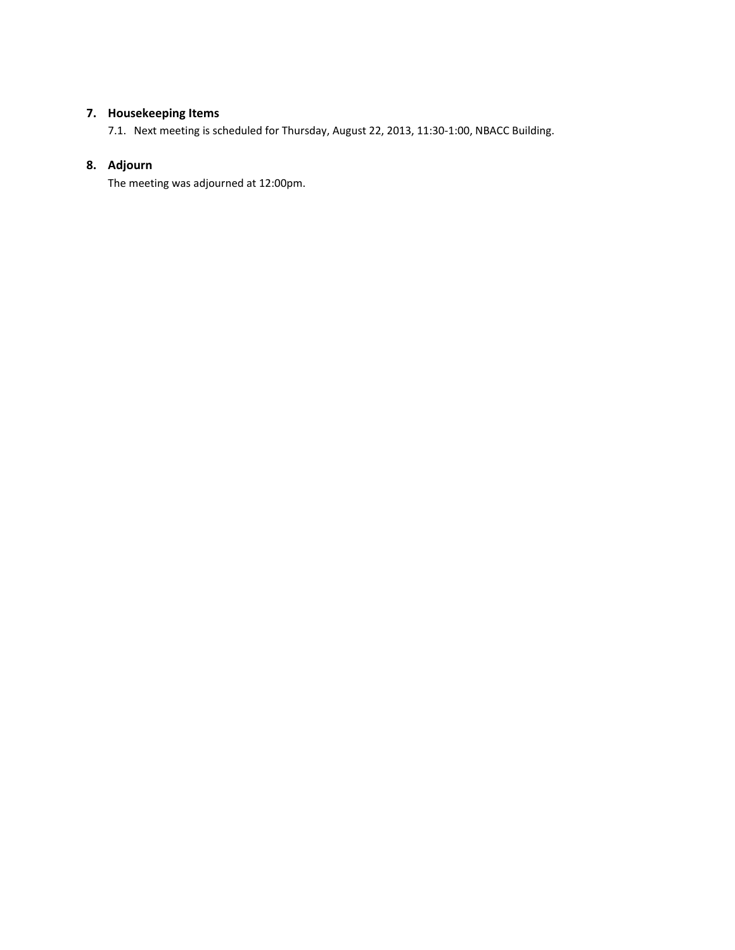# **7. Housekeeping Items**

7.1. Next meeting is scheduled for Thursday, August 22, 2013, 11:30‐1:00, NBACC Building.

# **8. Adjourn**

The meeting was adjourned at 12:00pm.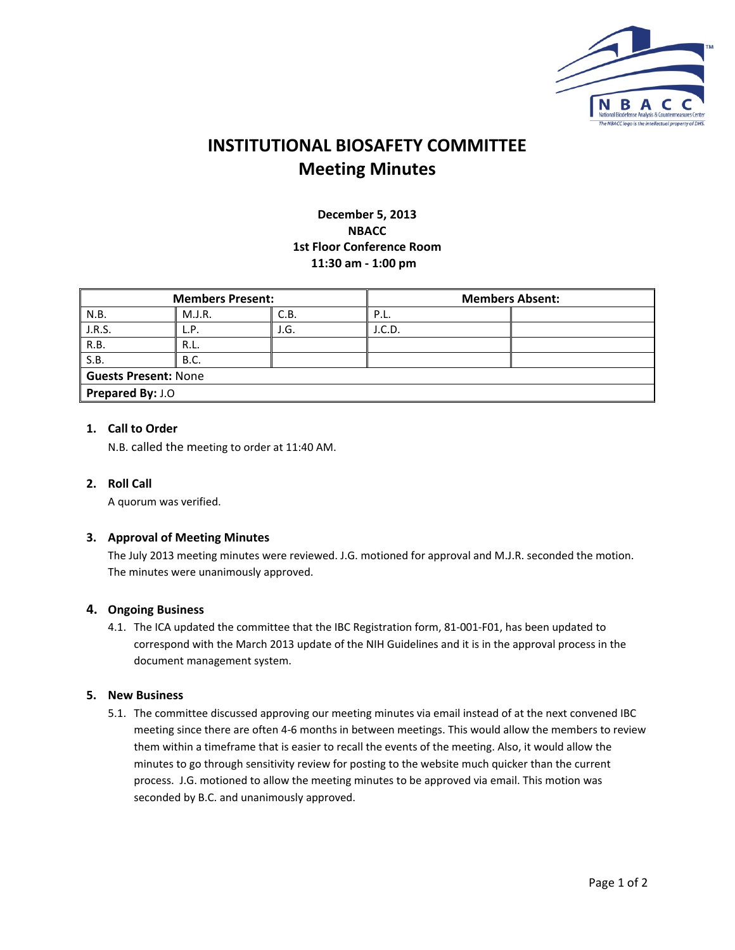

# **INSTITUTIONAL BIOSAFETY COMMITTEE Meeting Minutes**

**December 5, 2013 NBACC 1st Floor Conference Room 11:30 am ‐ 1:00 pm**

| <b>Members Present:</b>     |             |      |        | <b>Members Absent:</b> |  |  |
|-----------------------------|-------------|------|--------|------------------------|--|--|
| N.B.                        | M.J.R.      | C.B. | P.L.   |                        |  |  |
| J.R.S.                      | L.P.        | J.G. | J.C.D. |                        |  |  |
| R.B.                        | R.L.        |      |        |                        |  |  |
| S.B.                        | <b>B.C.</b> |      |        |                        |  |  |
| <b>Guests Present: None</b> |             |      |        |                        |  |  |
| Prepared By: J.O            |             |      |        |                        |  |  |

# **1. Call to Order**

N.B. called the meeting to order at 11:40 AM.

#### **2. Roll Call**

A quorum was verified.

#### **3. Approval of Meeting Minutes**

The July 2013 meeting minutes were reviewed. J.G. motioned for approval and M.J.R. seconded the motion. The minutes were unanimously approved.

#### **4. Ongoing Business**

4.1. The ICA updated the committee that the IBC Registration form, 81‐001‐F01, has been updated to correspond with the March 2013 update of the NIH Guidelines and it is in the approval process in the document management system.

#### **5. New Business**

5.1. The committee discussed approving our meeting minutes via email instead of at the next convened IBC meeting since there are often 4‐6 months in between meetings. This would allow the members to review them within a timeframe that is easier to recall the events of the meeting. Also, it would allow the minutes to go through sensitivity review for posting to the website much quicker than the current process. J.G. motioned to allow the meeting minutes to be approved via email. This motion was seconded by B.C. and unanimously approved.